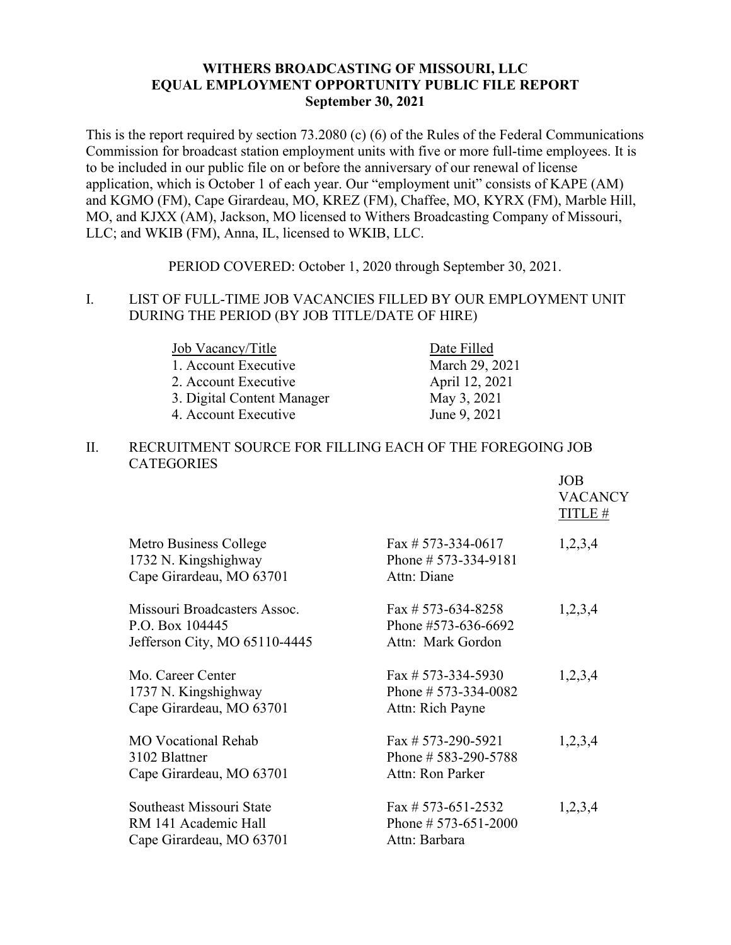## **WITHERS BROADCASTING OF MISSOURI, LLC EQUAL EMPLOYMENT OPPORTUNITY PUBLIC FILE REPORT September 30, 2021**

This is the report required by section 73.2080 (c) (6) of the Rules of the Federal Communications Commission for broadcast station employment units with five or more full-time employees. It is to be included in our public file on or before the anniversary of our renewal of license application, which is October 1 of each year. Our "employment unit" consists of KAPE (AM) and KGMO (FM), Cape Girardeau, MO, KREZ (FM), Chaffee, MO, KYRX (FM), Marble Hill, MO, and KJXX (AM), Jackson, MO licensed to Withers Broadcasting Company of Missouri, LLC; and WKIB (FM), Anna, IL, licensed to WKIB, LLC.

PERIOD COVERED: October 1, 2020 through September 30, 2021.

### I. LIST OF FULL-TIME JOB VACANCIES FILLED BY OUR EMPLOYMENT UNIT DURING THE PERIOD (BY JOB TITLE/DATE OF HIRE)

| Job Vacancy/Title          | Date Filled    |
|----------------------------|----------------|
| 1. Account Executive       | March 29, 2021 |
| 2. Account Executive       | April 12, 2021 |
| 3. Digital Content Manager | May 3, 2021    |
| 4. Account Executive       | June 9, 2021   |

#### II. RECRUITMENT SOURCE FOR FILLING EACH OF THE FOREGOING JOB **CATEGORIES**

|                                                                                  |                                                                  | <b>JOB</b><br><b>VACANCY</b><br>TITLE # |
|----------------------------------------------------------------------------------|------------------------------------------------------------------|-----------------------------------------|
| Metro Business College<br>1732 N. Kingshighway<br>Cape Girardeau, MO 63701       | Fax # 573-334-0617<br>Phone # $573-334-9181$<br>Attn: Diane      | 1,2,3,4                                 |
| Missouri Broadcasters Assoc.<br>P.O. Box 104445<br>Jefferson City, MO 65110-4445 | Fax # 573-634-8258<br>Phone #573-636-6692<br>Attn: Mark Gordon   | 1,2,3,4                                 |
| Mo. Career Center<br>1737 N. Kingshighway<br>Cape Girardeau, MO 63701            | Fax # 573-334-5930<br>Phone # $573-334-0082$<br>Attn: Rich Payne | 1,2,3,4                                 |
| <b>MO</b> Vocational Rehab<br>3102 Blattner<br>Cape Girardeau, MO 63701          | Fax # $573-290-5921$<br>Phone # 583-290-5788<br>Attn: Ron Parker | 1,2,3,4                                 |
| Southeast Missouri State<br>RM 141 Academic Hall<br>Cape Girardeau, MO 63701     | Fax # 573-651-2532<br>Phone # $573-651-2000$<br>Attn: Barbara    | 1,2,3,4                                 |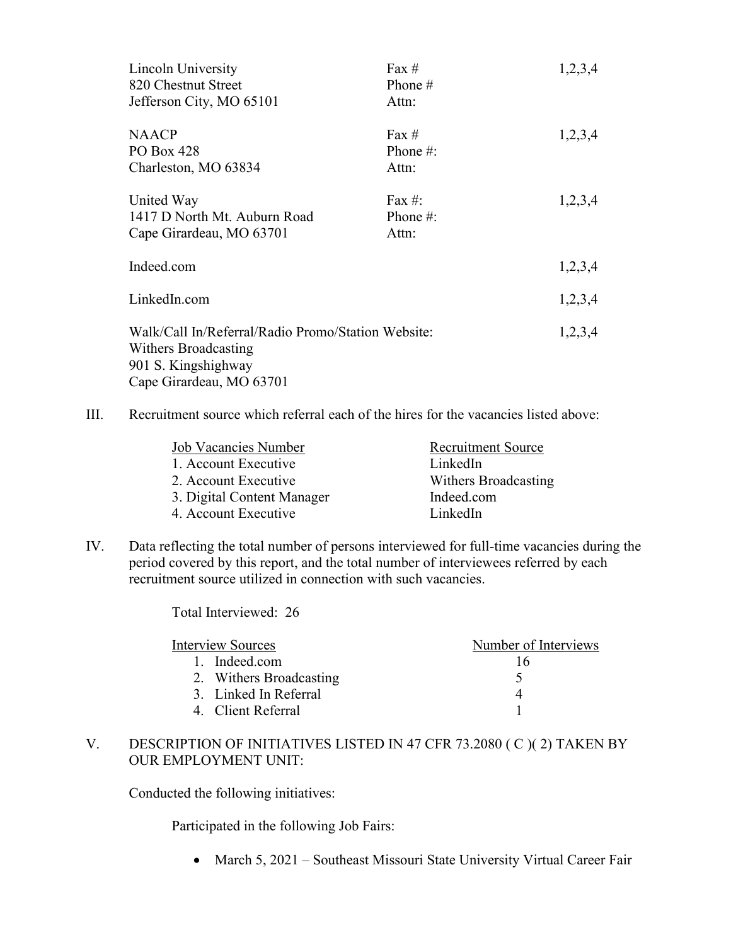| Lincoln University                                 | Fax $#$     | 1,2,3,4 |
|----------------------------------------------------|-------------|---------|
| 820 Chestnut Street                                | Phone $#$   |         |
| Jefferson City, MO 65101                           | Attn:       |         |
| <b>NAACP</b>                                       | Fax $#$     | 1,2,3,4 |
| PO Box 428                                         | Phone $#$ : |         |
| Charleston, MO 63834                               | Attn:       |         |
| United Way                                         | Fax #:      | 1,2,3,4 |
| 1417 D North Mt. Auburn Road                       | Phone $#$ : |         |
| Cape Girardeau, MO 63701                           | Attn:       |         |
| Indeed.com                                         |             | 1,2,3,4 |
| LinkedIn.com                                       |             | 1,2,3,4 |
| Walk/Call In/Referral/Radio Promo/Station Website: |             | 1,2,3,4 |
| Withers Broadcasting                               |             |         |
| 901 S. Kingshighway                                |             |         |
| Cape Girardeau, MO 63701                           |             |         |

III. Recruitment source which referral each of the hires for the vacancies listed above:

| Job Vacancies Number       | <b>Recruitment Source</b> |
|----------------------------|---------------------------|
| 1. Account Executive       | LinkedIn                  |
| 2. Account Executive       | Withers Broadcasting      |
| 3. Digital Content Manager | Indeed.com                |
| 4. Account Executive       | LinkedIn                  |
|                            |                           |

IV. Data reflecting the total number of persons interviewed for full-time vacancies during the period covered by this report, and the total number of interviewees referred by each recruitment source utilized in connection with such vacancies.

Total Interviewed: 26

| <b>Interview Sources</b> | Number of Interviews |
|--------------------------|----------------------|
| 1. Indeed.com            | 16                   |
| 2. Withers Broadcasting  |                      |
| 3. Linked In Referral    |                      |
| 4. Client Referral       |                      |
|                          |                      |

# V. DESCRIPTION OF INITIATIVES LISTED IN 47 CFR 73.2080 ( C )( 2) TAKEN BY OUR EMPLOYMENT UNIT:

Conducted the following initiatives:

Participated in the following Job Fairs:

• March 5, 2021 – Southeast Missouri State University Virtual Career Fair